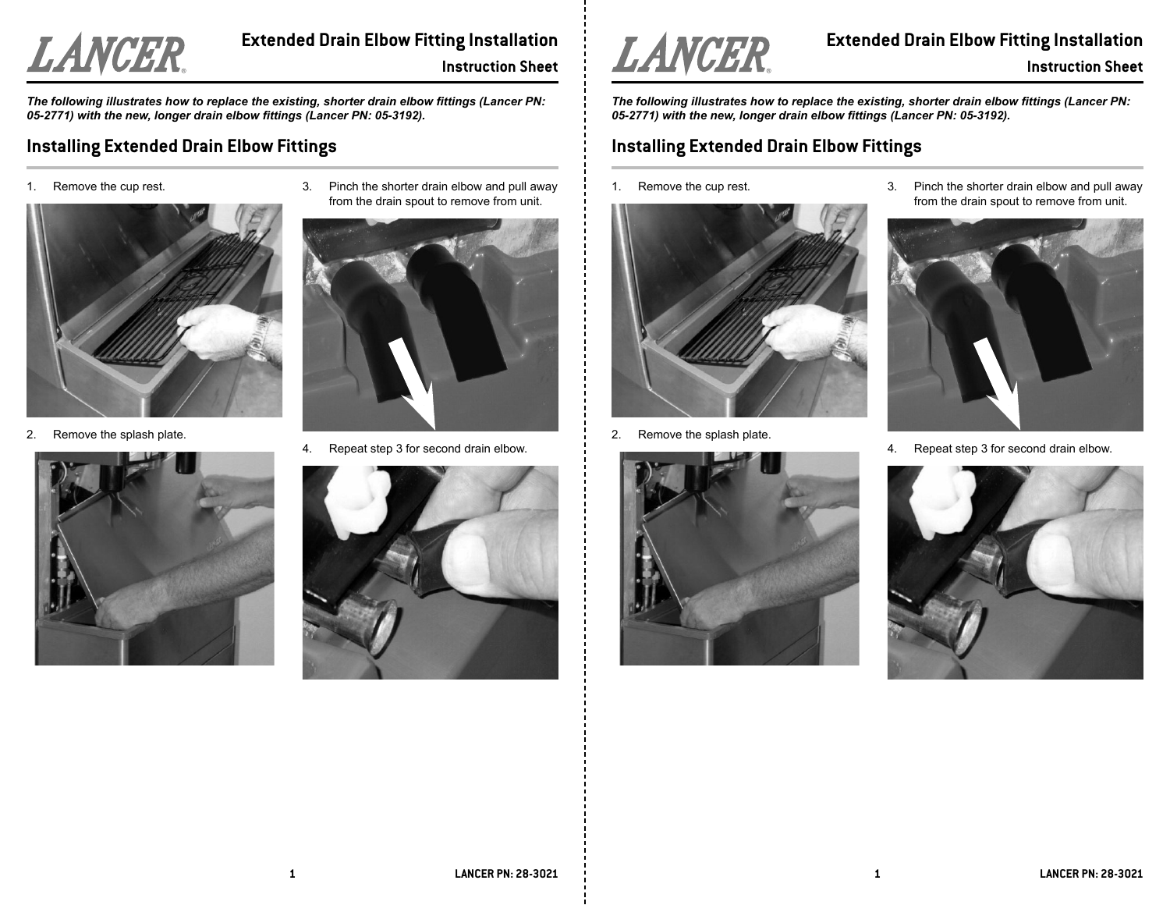

# **Extended Drain Elbow Fitting Installation Instruction Sheet**

*The following illustrates how to replace the existing, shorter drain elbow fittings (Lancer PN: 05-2771) with the new, longer drain elbow fittings (Lancer PN: 05-3192).*

## **Installing Extended Drain Elbow Fittings**

1.Remove the cup rest.



2.Remove the splash plate.



3. Pinch the shorter drain elbow and pull away from the drain spout to remove from unit.



4.Repeat step 3 for second drain elbow.





**Extended Drain Elbow Fitting Installation Instruction Sheet**

*The following illustrates how to replace the existing, shorter drain elbow fittings (Lancer PN: 05-2771) with the new, longer drain elbow fittings (Lancer PN: 05-3192).*

### **Installing Extended Drain Elbow Fittings**

1.Remove the cup rest.



2.Remove the splash plate.



3. Pinch the shorter drain elbow and pull away from the drain spout to remove from unit.



4.Repeat step 3 for second drain elbow.